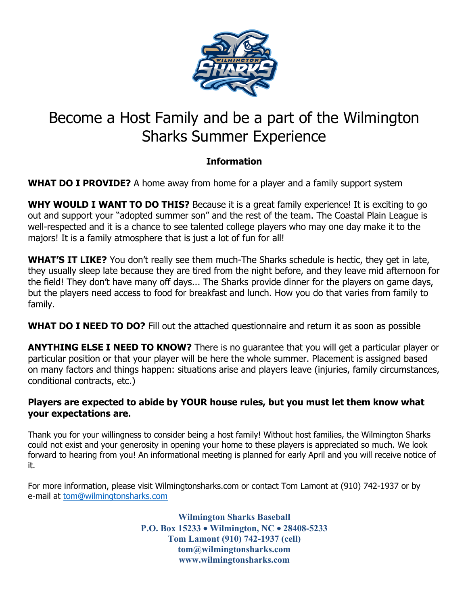

## Become a Host Family and be a part of the Wilmington Sharks Summer Experience

## **Information**

**WHAT DO I PROVIDE?** A home away from home for a player and a family support system

**WHY WOULD I WANT TO DO THIS?** Because it is a great family experience! It is exciting to go out and support your "adopted summer son" and the rest of the team. The Coastal Plain League is well-respected and it is a chance to see talented college players who may one day make it to the majors! It is a family atmosphere that is just a lot of fun for all!

**WHAT'S IT LIKE?** You don't really see them much-The Sharks schedule is hectic, they get in late, they usually sleep late because they are tired from the night before, and they leave mid afternoon for the field! They don't have many off days... The Sharks provide dinner for the players on game days, but the players need access to food for breakfast and lunch. How you do that varies from family to family.

**WHAT DO I NEED TO DO?** Fill out the attached questionnaire and return it as soon as possible

**ANYTHING ELSE I NEED TO KNOW?** There is no guarantee that you will get a particular player or particular position or that your player will be here the whole summer. Placement is assigned based on many factors and things happen: situations arise and players leave (injuries, family circumstances, conditional contracts, etc.)

## **Players are expected to abide by YOUR house rules, but you must let them know what your expectations are.**

Thank you for your willingness to consider being a host family! Without host families, the Wilmington Sharks could not exist and your generosity in opening your home to these players is appreciated so much. We look forward to hearing from you! An informational meeting is planned for early April and you will receive notice of it.

For more information, please visit Wilmingtonsharks.com or contact Tom Lamont at (910) 742-1937 or by e-mail at tom@wilmingtonsharks.com

> **Wilmington Sharks Baseball P.O. Box 15233** • **Wilmington, NC** • **28408-5233 Tom Lamont (910) 742-1937 (cell) tom@wilmingtonsharks.com www.wilmingtonsharks.com**